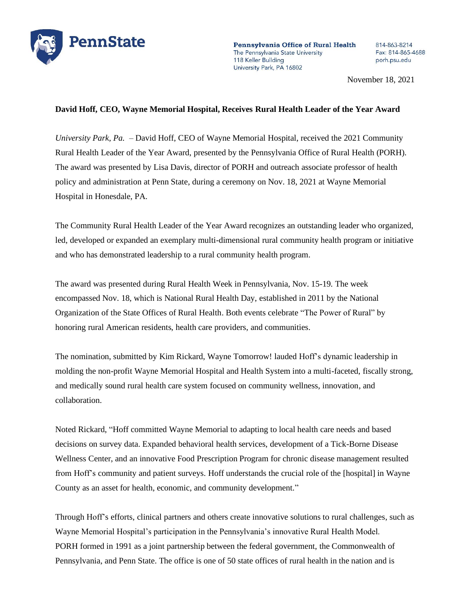

Pennsylvania Office of Rural Health The Pennsylvania State University 118 Keller Building University Park, PA 16802

814-863-8214 Fax: 814-865-4688 porh.psu.edu

November 18, 2021

## **David Hoff, CEO, Wayne Memorial Hospital, Receives Rural Health Leader of the Year Award**

*University Park, Pa.* – David Hoff, CEO of Wayne Memorial Hospital, received the 2021 Community Rural Health Leader of the Year Award, presented by the Pennsylvania Office of Rural Health (PORH). The award was presented by Lisa Davis, director of PORH and outreach associate professor of health policy and administration at Penn State, during a ceremony on Nov. 18, 2021 at Wayne Memorial Hospital in Honesdale, PA.

The Community Rural Health Leader of the Year Award recognizes an outstanding leader who organized, led, developed or expanded an exemplary multi-dimensional rural community health program or initiative and who has demonstrated leadership to a rural community health program.

The award was presented during Rural Health Week in Pennsylvania, Nov. 15-19. The week encompassed Nov. 18, which is National Rural Health Day, established in 2011 by the National Organization of the State Offices of Rural Health. Both events celebrate "The Power of Rural" by honoring rural American residents, health care providers, and communities.

The nomination, submitted by Kim Rickard, Wayne Tomorrow! lauded Hoff's dynamic leadership in molding the non-profit Wayne Memorial Hospital and Health System into a multi-faceted, fiscally strong, and medically sound rural health care system focused on community wellness, innovation, and collaboration.

Noted Rickard, "Hoff committed Wayne Memorial to adapting to local health care needs and based decisions on survey data. Expanded behavioral health services, development of a Tick-Borne Disease Wellness Center, and an innovative Food Prescription Program for chronic disease management resulted from Hoff's community and patient surveys. Hoff understands the crucial role of the [hospital] in Wayne County as an asset for health, economic, and community development."

Through Hoff's efforts, clinical partners and others create innovative solutions to rural challenges, such as Wayne Memorial Hospital's participation in the Pennsylvania's innovative Rural Health Model. PORH formed in 1991 as a joint partnership between the federal government, the Commonwealth of Pennsylvania, and Penn State. The office is one of 50 state offices of rural health in the nation and is